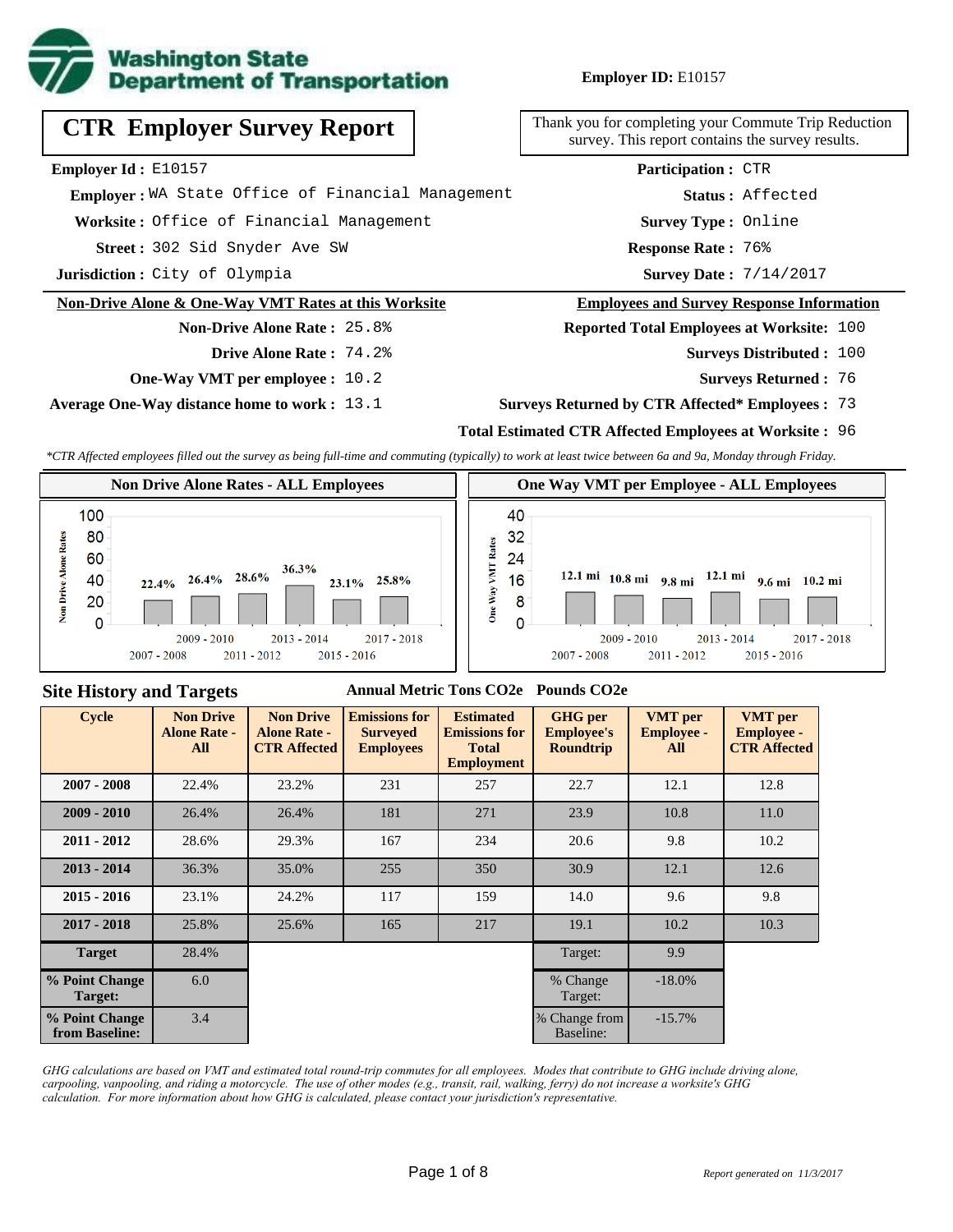

**Employer ID:** E10157

| <b>CTR Employer Survey Report</b>                 | Thank you for completing your Comn<br>survey. This report contains the |
|---------------------------------------------------|------------------------------------------------------------------------|
| <b>Employer Id:</b> $E10157$                      | <b>Participation: CTR</b>                                              |
| Emplover: WA State Office of Financial Management | Status: Aff                                                            |
| Worksite: Office of Financial Management          | Survey Type: Onl                                                       |
| Street: 302 Sid Snyder Ave SW                     | Response Rate: 76%                                                     |

**Jurisdiction :** City of Olympia

#### **Non-Drive Alone & One-Way VMT Rates at this Worksite**

## **Non-Drive Alone Rate :** 25.8% **Drive Alone Rate :** 74.2%

**One-Way VMT per employee :** 10.2

**Average One-Way distance home to work :** 13.1

Thank you for completing your Commute Trip Reduction survey. This report contains the survey results.

> **Survey Type :** Online **Status :** Affected **Participation :** CTR

Survey Date:  $7/14/2017$ 

#### **Employees and Survey Response Information**

**Reported Total Employees at Worksite:** 100

- Surveys Distributed : 100
	- **Surveys Returned :** 76

#### **Surveys Returned by CTR Affected\* Employees :** 73

#### **Total Estimated CTR Affected Employees at Worksite :** 96

*\*CTR Affected employees filled out the survey as being full-time and commuting (typically) to work at least twice between 6a and 9a, Monday through Friday.*



#### **Site History and Targets**

#### **Annual Metric Tons CO2e Pounds CO2e**

| <b>Cycle</b>                     | <b>Non Drive</b><br><b>Alone Rate -</b><br>All | <b>Non Drive</b><br><b>Alone Rate -</b><br><b>CTR Affected</b> | <b>Emissions for</b><br><b>Surveyed</b><br><b>Employees</b> | <b>Estimated</b><br><b>Emissions for</b><br><b>Total</b><br><b>Employment</b> | <b>GHG</b> per<br><b>Employee's</b><br><b>Roundtrip</b> | <b>VMT</b> per<br><b>Employee -</b><br>All | <b>VMT</b> per<br><b>Employee -</b><br><b>CTR Affected</b> |
|----------------------------------|------------------------------------------------|----------------------------------------------------------------|-------------------------------------------------------------|-------------------------------------------------------------------------------|---------------------------------------------------------|--------------------------------------------|------------------------------------------------------------|
| $2007 - 2008$                    | 22.4%                                          | 23.2%                                                          | 231<br>257                                                  |                                                                               | 22.7                                                    | 12.1                                       | 12.8                                                       |
| $2009 - 2010$                    | 26.4%                                          | 26.4%                                                          | 181<br>271                                                  |                                                                               | 23.9                                                    | 10.8                                       | 11.0                                                       |
| $2011 - 2012$                    | 28.6%                                          | 29.3%                                                          | 167                                                         | 234                                                                           | 20.6                                                    | 9.8                                        | 10.2                                                       |
| $2013 - 2014$                    | 36.3%                                          | 35.0%                                                          | 255                                                         | 350                                                                           | 30.9                                                    | 12.1                                       | 12.6                                                       |
| $2015 - 2016$                    | 23.1%                                          | 24.2%                                                          | 117                                                         | 159                                                                           | 14.0                                                    | 9.6                                        | 9.8                                                        |
| $2017 - 2018$                    | 25.8%                                          | 25.6%                                                          | 165                                                         | 217                                                                           | 19.1                                                    | 10.2                                       | 10.3                                                       |
| <b>Target</b>                    | 28.4%                                          |                                                                |                                                             |                                                                               | Target:                                                 | 9.9                                        |                                                            |
| % Point Change<br>Target:        | 6.0                                            |                                                                |                                                             |                                                                               | % Change<br>Target:                                     | $-18.0\%$                                  |                                                            |
| % Point Change<br>from Baseline: | 3.4                                            |                                                                |                                                             |                                                                               | % Change from<br>Baseline:                              | $-15.7%$                                   |                                                            |

*GHG calculations are based on VMT and estimated total round-trip commutes for all employees. Modes that contribute to GHG include driving alone, carpooling, vanpooling, and riding a motorcycle. The use of other modes (e.g., transit, rail, walking, ferry) do not increase a worksite's GHG calculation. For more information about how GHG is calculated, please contact your jurisdiction's representative.*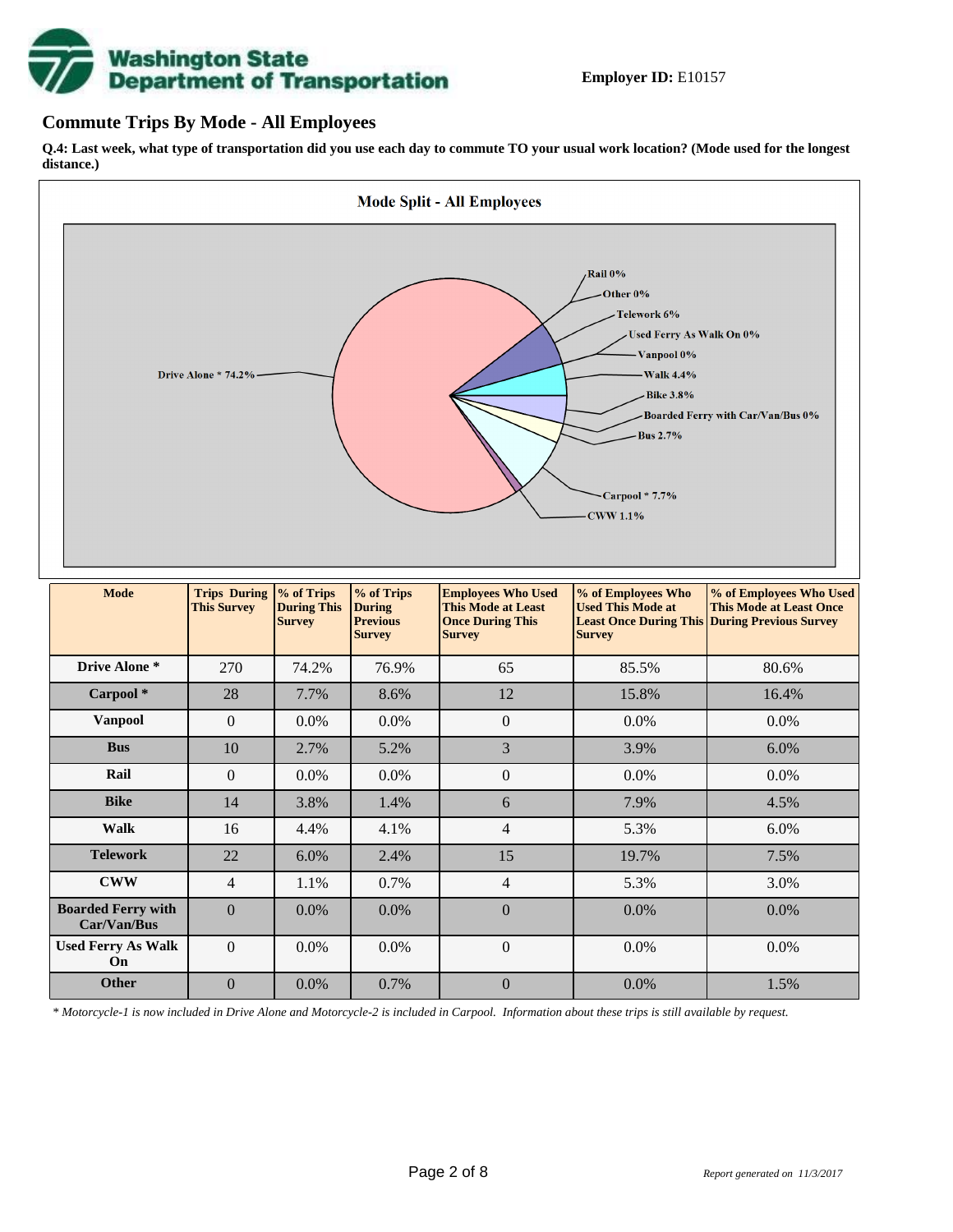# **Washington State<br>Department of Transportation**

## **Commute Trips By Mode - All Employees**

**Q.4: Last week, what type of transportation did you use each day to commute TO your usual work location? (Mode used for the longest distance.)**



*\* Motorcycle-1 is now included in Drive Alone and Motorcycle-2 is included in Carpool. Information about these trips is still available by request.*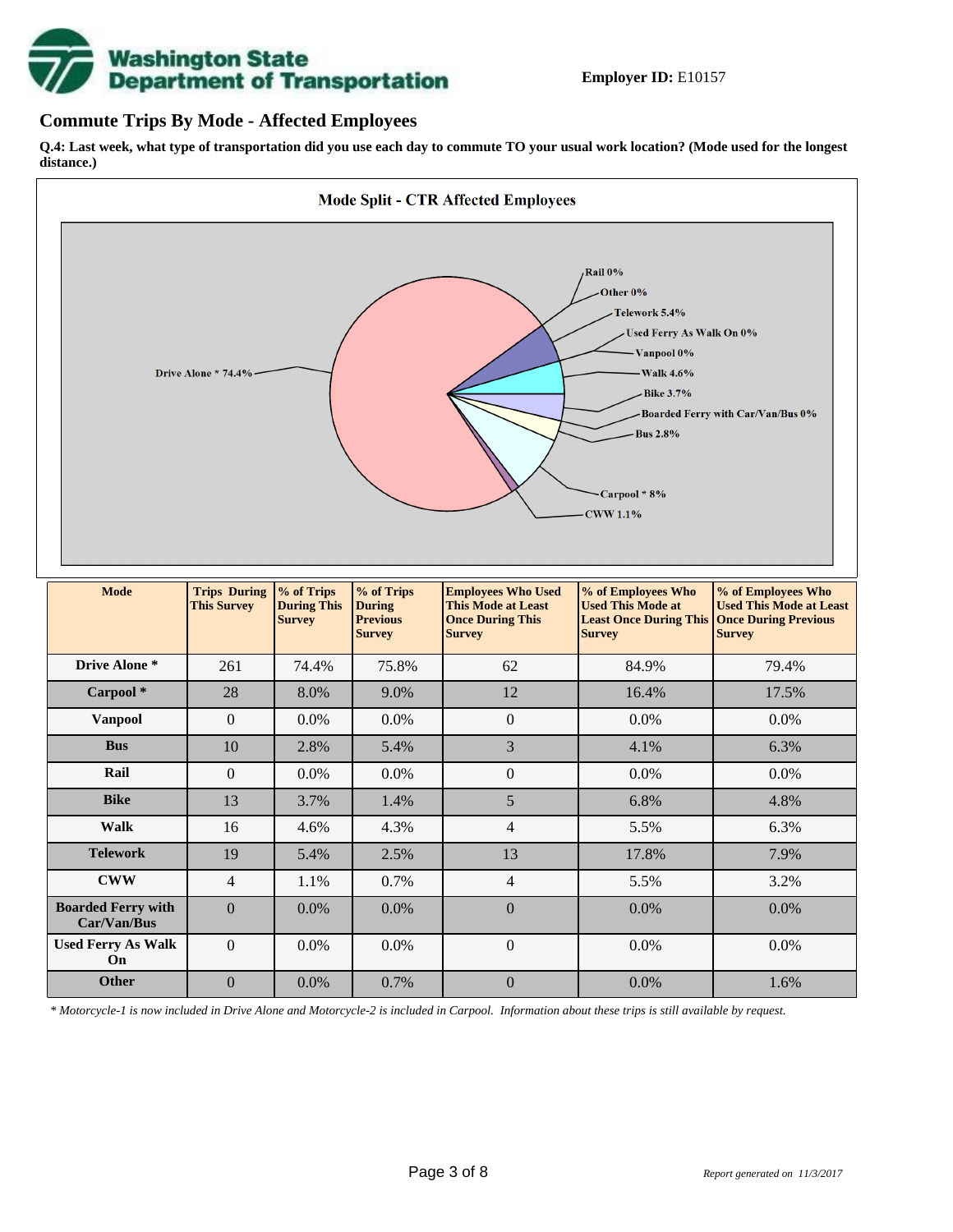

## **Commute Trips By Mode - Affected Employees**

**Q.4: Last week, what type of transportation did you use each day to commute TO your usual work location? (Mode used for the longest distance.)**



*\* Motorcycle-1 is now included in Drive Alone and Motorcycle-2 is included in Carpool. Information about these trips is still available by request.*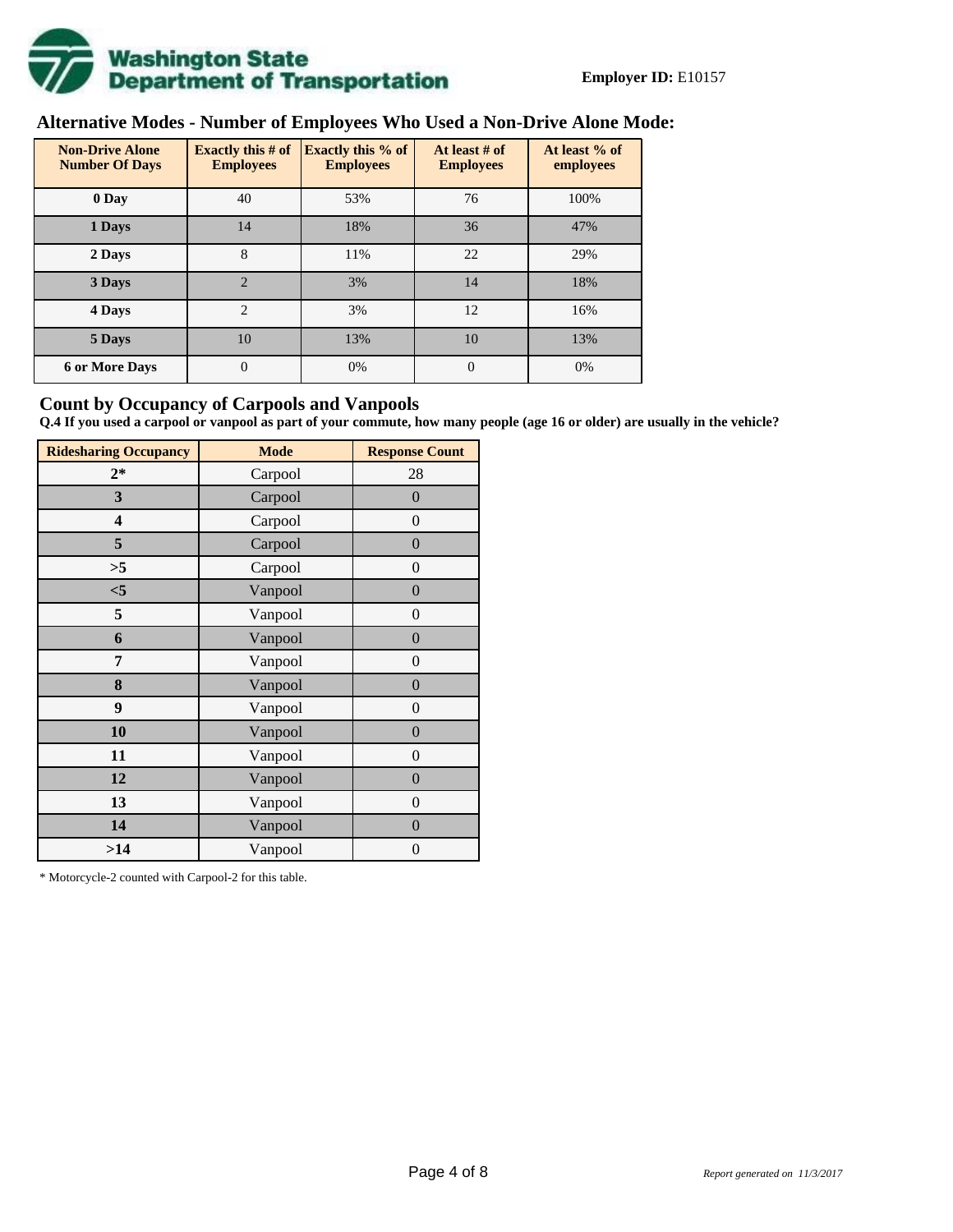![](_page_3_Picture_0.jpeg)

# **Alternative Modes - Number of Employees Who Used a Non-Drive Alone Mode:**

| <b>Non-Drive Alone</b><br><b>Number Of Days</b> | <b>Exactly this # of</b><br><b>Employees</b> | <b>Exactly this % of</b><br><b>Employees</b> | At least # of<br><b>Employees</b> | At least % of<br>employees |
|-------------------------------------------------|----------------------------------------------|----------------------------------------------|-----------------------------------|----------------------------|
| 0 Day                                           | 40                                           | 53%                                          | 76                                | 100%                       |
| 1 Days                                          | 14                                           | 18%                                          | 36                                | 47%                        |
| 8<br>2 Days                                     |                                              | 11%                                          | 22                                | 29%                        |
| 3 Days                                          | $\overline{2}$                               | 3%                                           | 14                                | 18%                        |
| 4 Days                                          | $\overline{2}$                               | 3%                                           | 12                                | 16%                        |
| 5 Days                                          | 10                                           | 13%                                          | 10                                | 13%                        |
| <b>6 or More Days</b>                           | $\overline{0}$                               | 0%                                           | $\Omega$                          | 0%                         |

## **Count by Occupancy of Carpools and Vanpools**

**Q.4 If you used a carpool or vanpool as part of your commute, how many people (age 16 or older) are usually in the vehicle?**

| <b>Ridesharing Occupancy</b> | <b>Mode</b> | <b>Response Count</b> |
|------------------------------|-------------|-----------------------|
| $2*$                         | Carpool     | 28                    |
| 3                            | Carpool     | $\boldsymbol{0}$      |
| 4                            | Carpool     | $\boldsymbol{0}$      |
| 5                            | Carpool     | $\boldsymbol{0}$      |
| >5                           | Carpool     | $\overline{0}$        |
| $<$ 5                        | Vanpool     | $\overline{0}$        |
| 5                            | Vanpool     | $\boldsymbol{0}$      |
| 6                            | Vanpool     | $\boldsymbol{0}$      |
| 7                            | Vanpool     | $\boldsymbol{0}$      |
| 8                            | Vanpool     | $\boldsymbol{0}$      |
| 9                            | Vanpool     | $\boldsymbol{0}$      |
| 10                           | Vanpool     | $\overline{0}$        |
| 11                           | Vanpool     | $\overline{0}$        |
| 12                           | Vanpool     | $\boldsymbol{0}$      |
| 13                           | Vanpool     | $\boldsymbol{0}$      |
| 14                           | Vanpool     | $\overline{0}$        |
| >14                          | Vanpool     | $\boldsymbol{0}$      |

\* Motorcycle-2 counted with Carpool-2 for this table.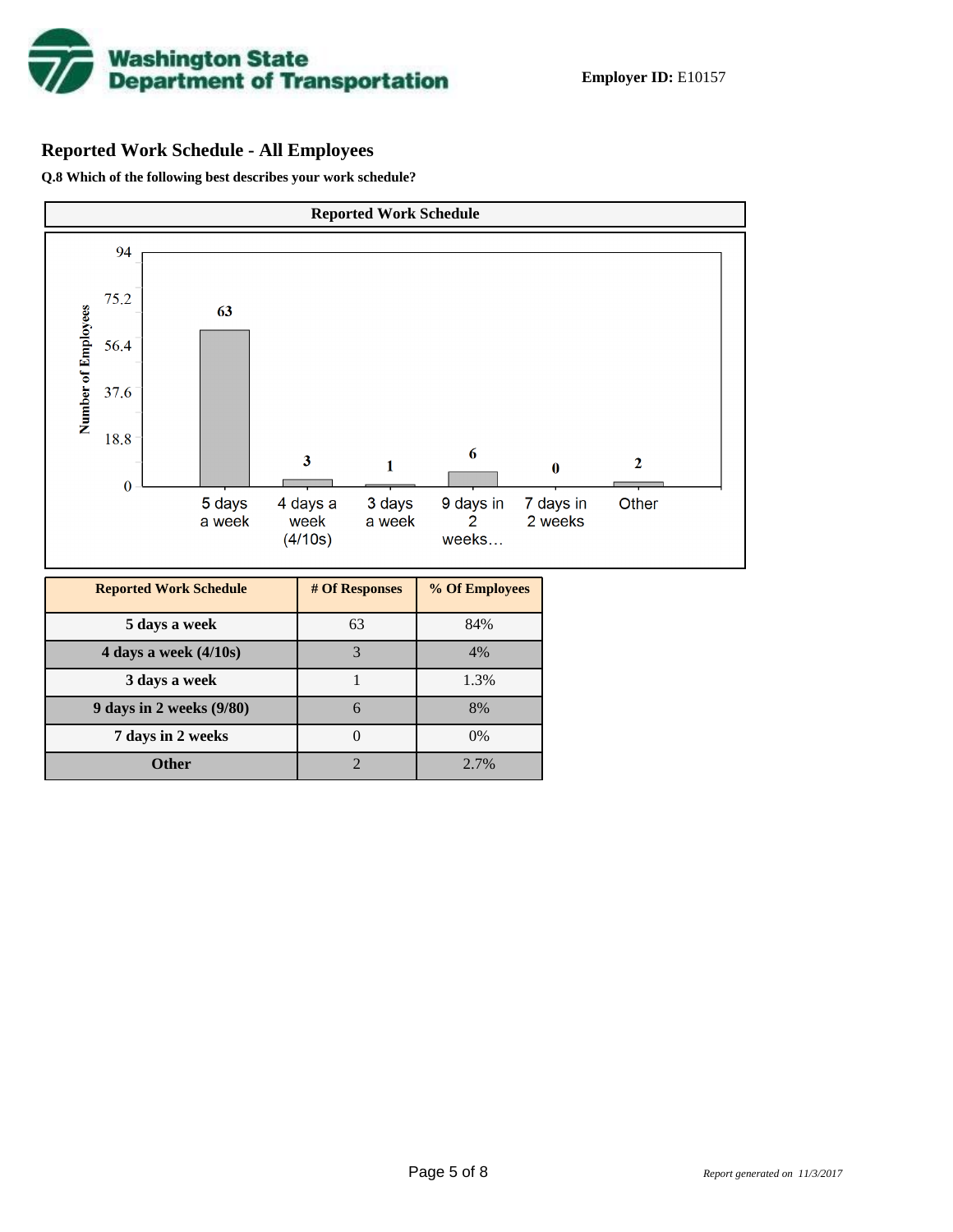![](_page_4_Picture_0.jpeg)

# **Reported Work Schedule - All Employees**

**Q.8 Which of the following best describes your work schedule?**

![](_page_4_Figure_4.jpeg)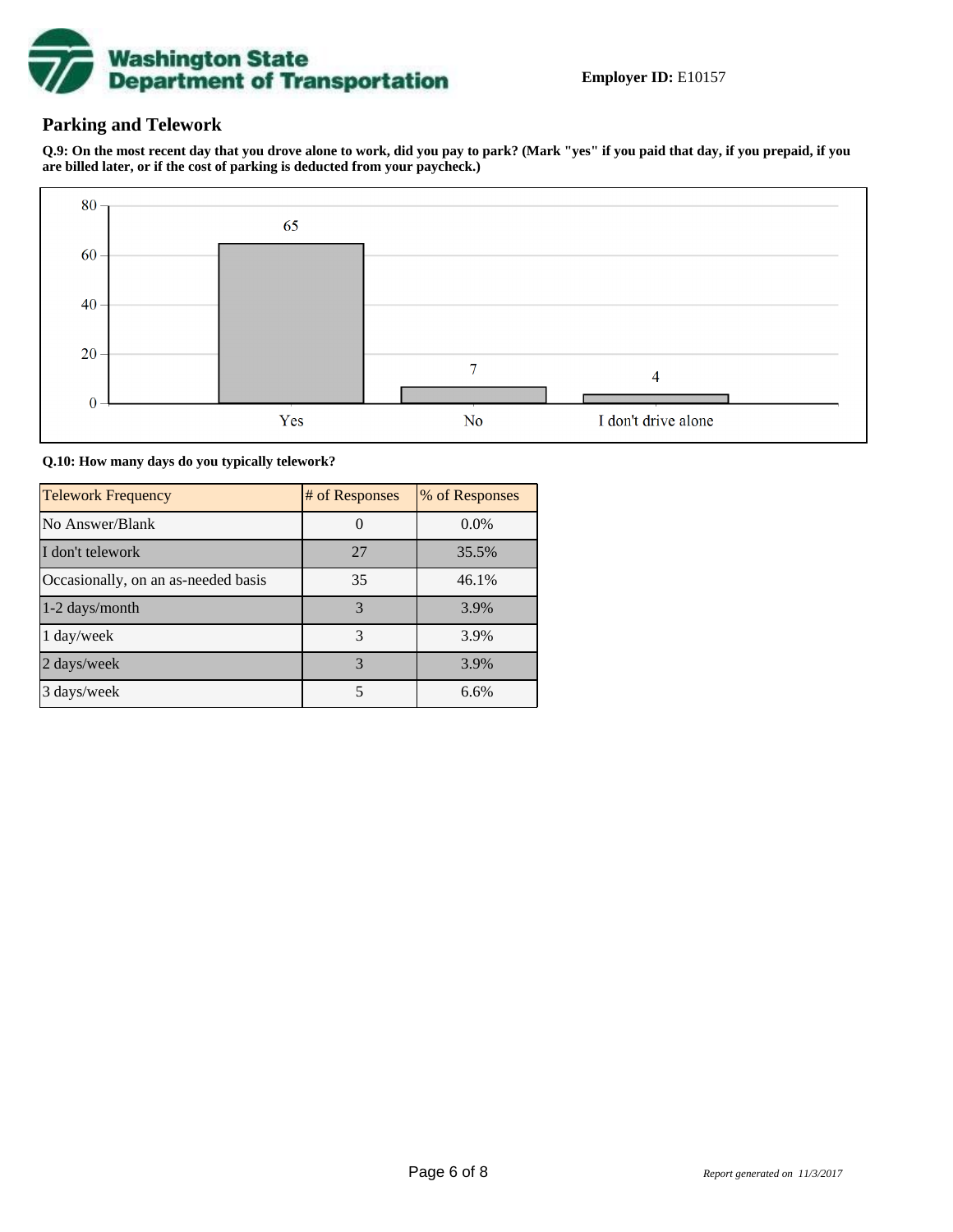![](_page_5_Picture_0.jpeg)

## **Parking and Telework**

**Q.9: On the most recent day that you drove alone to work, did you pay to park? (Mark "yes" if you paid that day, if you prepaid, if you are billed later, or if the cost of parking is deducted from your paycheck.)**

![](_page_5_Figure_4.jpeg)

**Q.10: How many days do you typically telework?**

| <b>Telework Frequency</b>           | # of Responses | % of Responses |
|-------------------------------------|----------------|----------------|
| No Answer/Blank                     |                | $0.0\%$        |
| I don't telework                    | 27             | 35.5%          |
| Occasionally, on an as-needed basis | 35             | 46.1%          |
| 1-2 days/month                      | 3              | 3.9%           |
| 1 day/week                          | 3              | 3.9%           |
| 2 days/week                         | 3              | 3.9%           |
| 3 days/week                         | 5              | 6.6%           |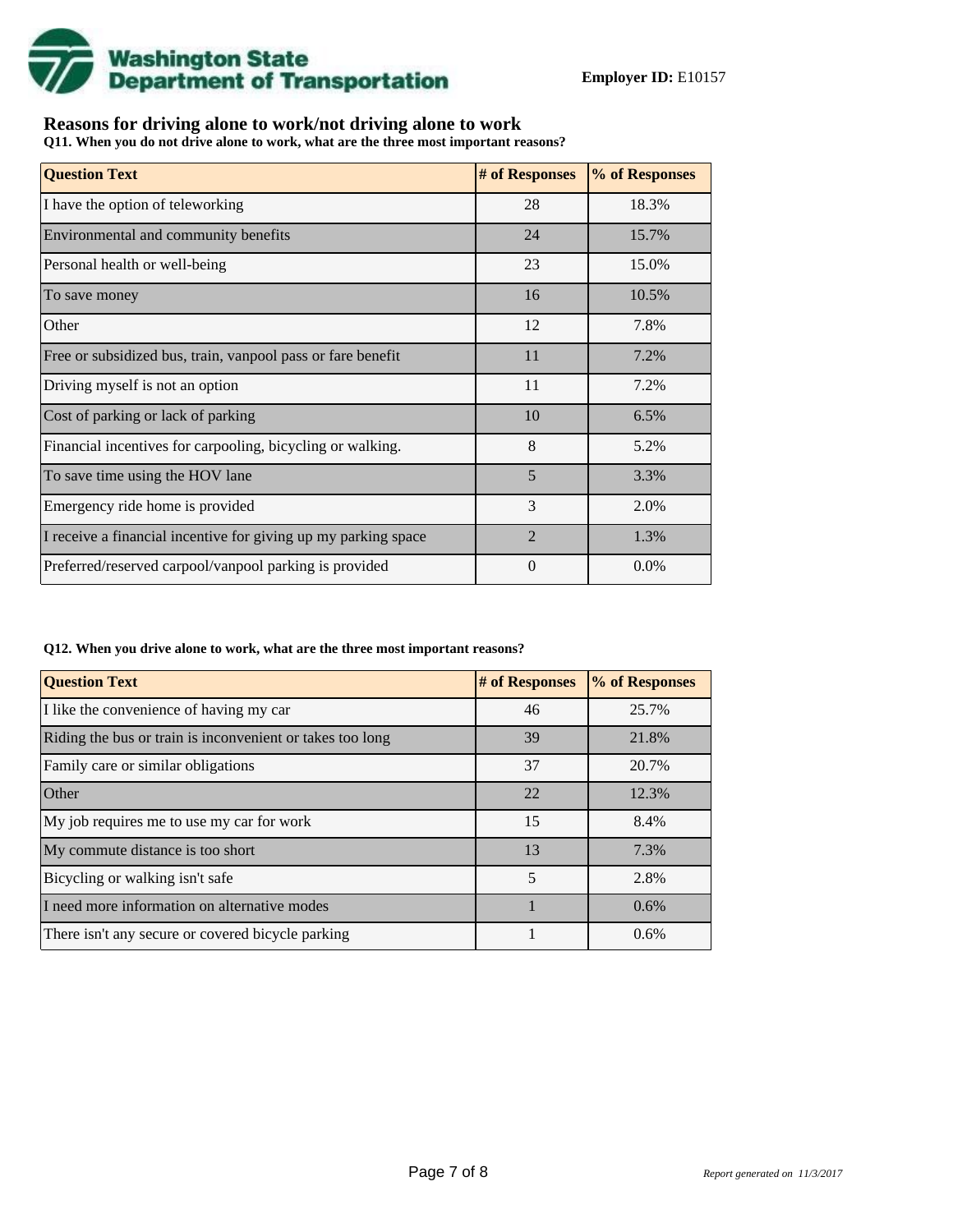![](_page_6_Picture_0.jpeg)

## **Reasons for driving alone to work/not driving alone to work**

**Q11. When you do not drive alone to work, what are the three most important reasons?**

| <b>Question Text</b>                                           | # of Responses | % of Responses |
|----------------------------------------------------------------|----------------|----------------|
| I have the option of teleworking                               | 28             | 18.3%          |
| Environmental and community benefits                           | 24             | 15.7%          |
| Personal health or well-being                                  | 23             | 15.0%          |
| To save money                                                  | 16             | 10.5%          |
| Other                                                          | 12             | 7.8%           |
| Free or subsidized bus, train, vanpool pass or fare benefit    | 11             | 7.2%           |
| Driving myself is not an option                                | 11             | 7.2%           |
| Cost of parking or lack of parking                             | 10             | 6.5%           |
| Financial incentives for carpooling, bicycling or walking.     | 8              | 5.2%           |
| To save time using the HOV lane                                | 5              | 3.3%           |
| Emergency ride home is provided                                | 3              | 2.0%           |
| I receive a financial incentive for giving up my parking space | $\overline{2}$ | 1.3%           |
| Preferred/reserved carpool/vanpool parking is provided         | $\theta$       | $0.0\%$        |

#### **Q12. When you drive alone to work, what are the three most important reasons?**

| <b>Question Text</b>                                      | # of Responses | % of Responses |
|-----------------------------------------------------------|----------------|----------------|
| I like the convenience of having my car                   | 46             | 25.7%          |
| Riding the bus or train is inconvenient or takes too long | 39             | 21.8%          |
| Family care or similar obligations                        | 37             | 20.7%          |
| Other                                                     | 22             | 12.3%          |
| My job requires me to use my car for work                 | 15             | 8.4%           |
| My commute distance is too short                          | 13             | 7.3%           |
| Bicycling or walking isn't safe                           | 5              | 2.8%           |
| I need more information on alternative modes              |                | 0.6%           |
| There isn't any secure or covered bicycle parking         |                | 0.6%           |